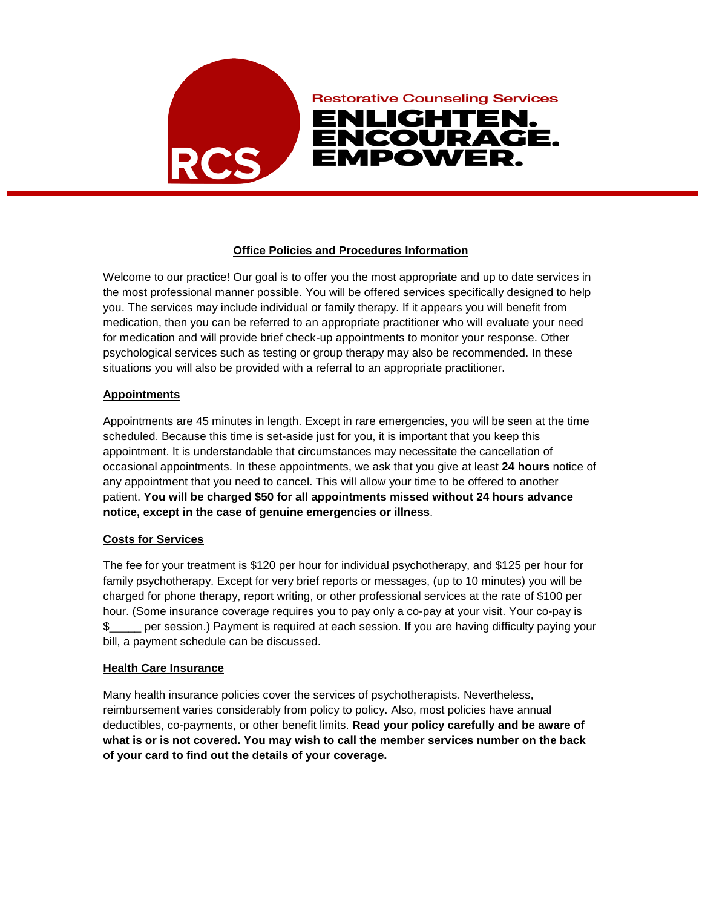

# **Office Policies and Procedures Information**

Welcome to our practice! Our goal is to offer you the most appropriate and up to date services in the most professional manner possible. You will be offered services specifically designed to help you. The services may include individual or family therapy. If it appears you will benefit from medication, then you can be referred to an appropriate practitioner who will evaluate your need for medication and will provide brief check-up appointments to monitor your response. Other psychological services such as testing or group therapy may also be recommended. In these situations you will also be provided with a referral to an appropriate practitioner.

# **Appointments**

Appointments are 45 minutes in length. Except in rare emergencies, you will be seen at the time scheduled. Because this time is set-aside just for you, it is important that you keep this appointment. It is understandable that circumstances may necessitate the cancellation of occasional appointments. In these appointments, we ask that you give at least **24 hours** notice of any appointment that you need to cancel. This will allow your time to be offered to another patient. **You will be charged \$50 for all appointments missed without 24 hours advance notice, except in the case of genuine emergencies or illness**.

# **Costs for Services**

The fee for your treatment is \$120 per hour for individual psychotherapy, and \$125 per hour for family psychotherapy. Except for very brief reports or messages, (up to 10 minutes) you will be charged for phone therapy, report writing, or other professional services at the rate of \$100 per hour. (Some insurance coverage requires you to pay only a co-pay at your visit. Your co-pay is \$\_\_\_\_\_ per session.) Payment is required at each session. If you are having difficulty paying your bill, a payment schedule can be discussed.

# **Health Care Insurance**

Many health insurance policies cover the services of psychotherapists. Nevertheless, reimbursement varies considerably from policy to policy. Also, most policies have annual deductibles, co-payments, or other benefit limits. **Read your policy carefully and be aware of what is or is not covered. You may wish to call the member services number on the back of your card to find out the details of your coverage.**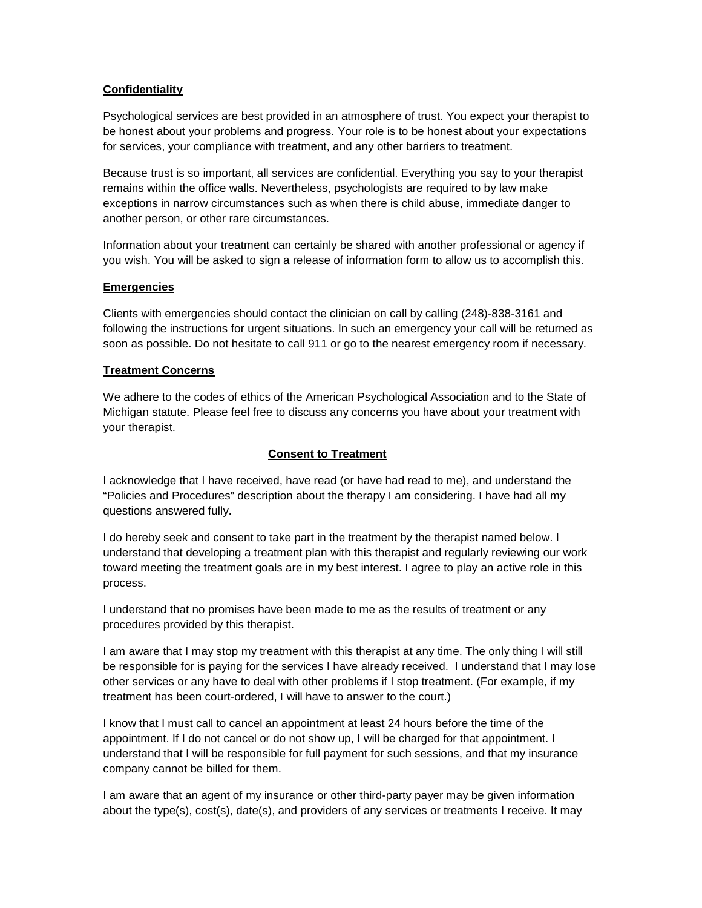# **Confidentiality**

Psychological services are best provided in an atmosphere of trust. You expect your therapist to be honest about your problems and progress. Your role is to be honest about your expectations for services, your compliance with treatment, and any other barriers to treatment.

Because trust is so important, all services are confidential. Everything you say to your therapist remains within the office walls. Nevertheless, psychologists are required to by law make exceptions in narrow circumstances such as when there is child abuse, immediate danger to another person, or other rare circumstances.

Information about your treatment can certainly be shared with another professional or agency if you wish. You will be asked to sign a release of information form to allow us to accomplish this.

# **Emergencies**

Clients with emergencies should contact the clinician on call by calling (248)-838-3161 and following the instructions for urgent situations. In such an emergency your call will be returned as soon as possible. Do not hesitate to call 911 or go to the nearest emergency room if necessary.

#### **Treatment Concerns**

We adhere to the codes of ethics of the American Psychological Association and to the State of Michigan statute. Please feel free to discuss any concerns you have about your treatment with your therapist.

# **Consent to Treatment**

I acknowledge that I have received, have read (or have had read to me), and understand the "Policies and Procedures" description about the therapy I am considering. I have had all my questions answered fully.

I do hereby seek and consent to take part in the treatment by the therapist named below. I understand that developing a treatment plan with this therapist and regularly reviewing our work toward meeting the treatment goals are in my best interest. I agree to play an active role in this process.

I understand that no promises have been made to me as the results of treatment or any procedures provided by this therapist.

I am aware that I may stop my treatment with this therapist at any time. The only thing I will still be responsible for is paying for the services I have already received. I understand that I may lose other services or any have to deal with other problems if I stop treatment. (For example, if my treatment has been court-ordered, I will have to answer to the court.)

I know that I must call to cancel an appointment at least 24 hours before the time of the appointment. If I do not cancel or do not show up, I will be charged for that appointment. I understand that I will be responsible for full payment for such sessions, and that my insurance company cannot be billed for them.

I am aware that an agent of my insurance or other third-party payer may be given information about the type(s), cost(s), date(s), and providers of any services or treatments I receive. It may